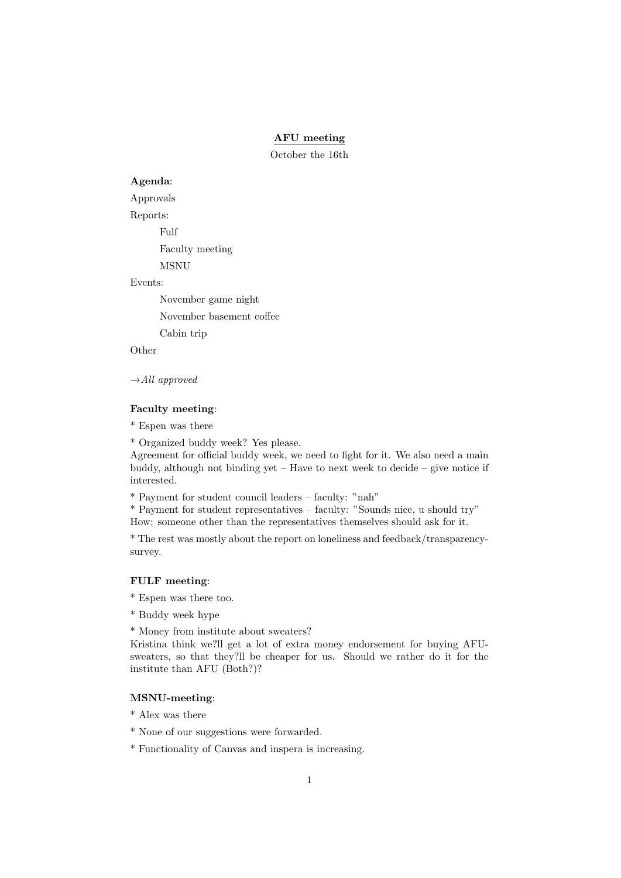## AFU meeting

October the 16th

### Agenda:

Approvals

Reports:

Fulf

Faculty meeting

MSNU

#### Events:

November game night November basement coffee Cabin trip

Other

 $\rightarrow$ All approved

### Faculty meeting:

\* Espen was there

\* Organized buddy week? Yes please.

Agreement for official buddy week, we need to fight for it. We also need a main buddy, although not binding yet – Have to next week to decide – give notice if interested.

\* Payment for student council leaders – faculty: "nah"

\* Payment for student representatives – faculty: "Sounds nice, u should try" How: someone other than the representatives themselves should ask for it.

\* The rest was mostly about the report on loneliness and feedback/transparencysurvey.

# FULF meeting:

- \* Espen was there too.
- \* Buddy week hype

\* Money from institute about sweaters?

Kristina think we?ll get a lot of extra money endorsement for buying AFUsweaters, so that they?ll be cheaper for us. Should we rather do it for the institute than AFU (Both?)?

### MSNU-meeting:

- \* Alex was there
- \* None of our suggestions were forwarded.
- \* Functionality of Canvas and inspera is increasing.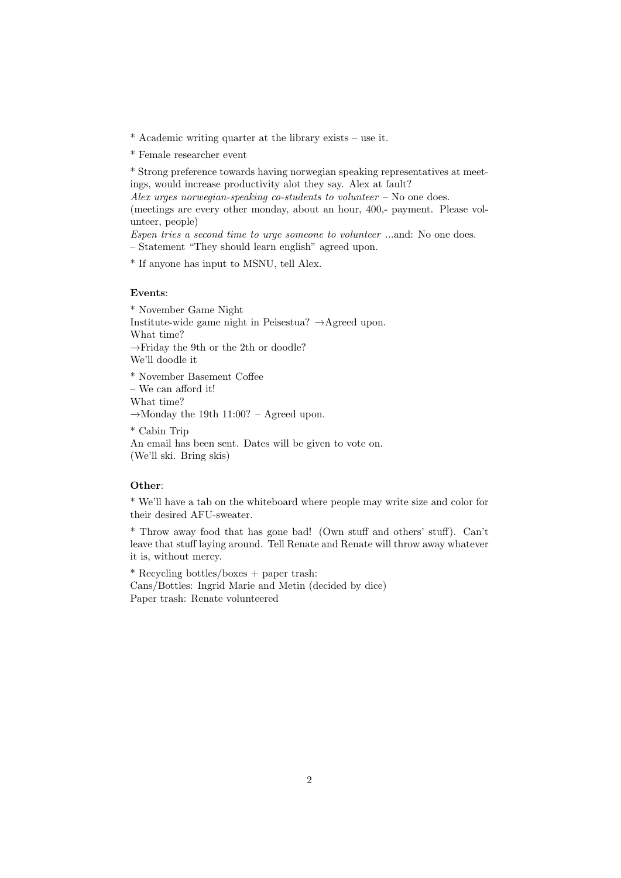\* Academic writing quarter at the library exists – use it.

\* Female researcher event

\* Strong preference towards having norwegian speaking representatives at meetings, would increase productivity alot they say. Alex at fault?

Alex urges norwegian-speaking co-students to volunteer  $-$  No one does.

(meetings are every other monday, about an hour, 400,- payment. Please volunteer, people)

Espen tries a second time to urge someone to volunteer ...and: No one does.

– Statement "They should learn english" agreed upon.

\* If anyone has input to MSNU, tell Alex.

### Events:

\* November Game Night Institute-wide game night in Peisestua? −→Agreed upon. What time? −→Friday the 9th or the 2th or doodle? We'll doodle it \* November Basement Coffee – We can afford it! What time? −→Monday the 19th 11:00? – Agreed upon. \* Cabin Trip

An email has been sent. Dates will be given to vote on. (We'll ski. Bring skis)

#### Other:

\* We'll have a tab on the whiteboard where people may write size and color for their desired AFU-sweater.

\* Throw away food that has gone bad! (Own stuff and others' stuff). Can't leave that stuff laying around. Tell Renate and Renate will throw away whatever it is, without mercy.

\* Recycling bottles/boxes + paper trash: Cans/Bottles: Ingrid Marie and Metin (decided by dice) Paper trash: Renate volunteered